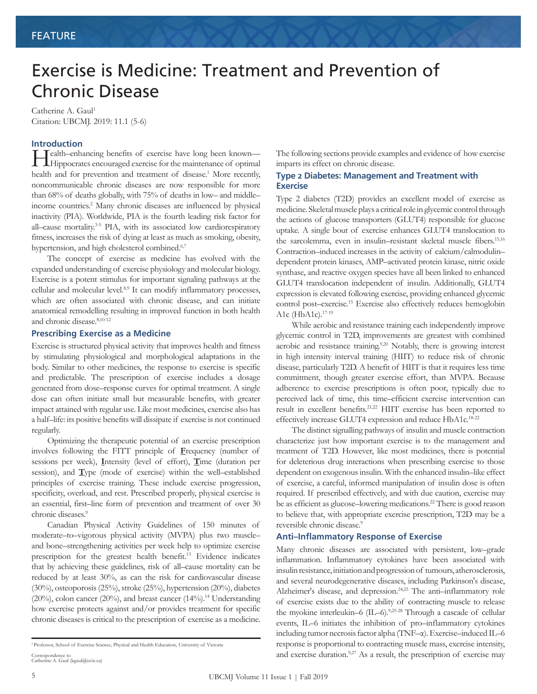# Exercise is Medicine: Treatment and Prevention of Chronic Disease

Catherine A. Gaul<sup>1</sup> Citation: UBCMJ. 2019: 11.1 (5-6)

#### **Introduction**

Health–enhancing benefits of exercise have long been known—<br>Hippocrates encouraged exercise for the maintenance of optimal **H**ippocrates encouraged exercise for the maintenance of optimal health and for prevention and treatment of disease.<sup>1</sup> More recently, noncommunicable chronic diseases are now responsible for more than 68% of deaths globally, with 75% of deaths in low– and middle– income countries.2 Many chronic diseases are influenced by physical inactivity (PIA). Worldwide, PIA is the fourth leading risk factor for all–cause mortality.<sup>3-5</sup> PIA, with its associated low cardiorespiratory fitness, increases the risk of dying at least as much as smoking, obesity, hypertension, and high cholesterol combined.<sup>6,7</sup>

The concept of exercise as medicine has evolved with the expanded understanding of exercise physiology and molecular biology. Exercise is a potent stimulus for important signaling pathways at the cellular and molecular level.8,9 It can modify inflammatory processes, which are often associated with chronic disease, and can initiate anatomical remodelling resulting in improved function in both health and chronic disease.8,10-12

### **Prescribing Exercise as a Medicine**

Exercise is structured physical activity that improves health and fitness by stimulating physiological and morphological adaptations in the body. Similar to other medicines, the response to exercise is specific and predictable. The prescription of exercise includes a dosage generated from dose–response curves for optimal treatment. A single dose can often initiate small but measurable benefits, with greater impact attained with regular use. Like most medicines, exercise also has a half–life: its positive benefits will dissipate if exercise is not continued regularly.

Optimizing the therapeutic potential of an exercise prescription involves following the FITT principle of **F**requency (number of sessions per week), **I**ntensity (level of effort), **T**ime (duration per session), and **T**ype (mode of exercise) within the well–established principles of exercise training. These include exercise progression, specificity, overload, and rest. Prescribed properly, physical exercise is an essential, first–line form of prevention and treatment of over 30 chronic diseases.<sup>9</sup>

Canadian Physical Activity Guidelines of 150 minutes of moderate–to–vigorous physical activity (MVPA) plus two muscle– and bone–strengthening activities per week help to optimize exercise prescription for the greatest health benefit.13 Evidence indicates that by achieving these guidelines, risk of all–cause mortality can be reduced by at least 30%, as can the risk for cardiovascular disease (30%), osteoporosis (25%), stroke (25%), hypertension (20%), diabetes  $(20\%)$ , colon cancer  $(20\%)$ , and breast cancer  $(14\%)$ .<sup>14</sup> Understanding how exercise protects against and/or provides treatment for specific chronic diseases is critical to the prescription of exercise as a medicine.

Correspondence to Catherine A. Gaul (kgaul@uvic.ca)

The following sections provide examples and evidence of how exercise imparts its effect on chronic disease.

#### **Type 2 Diabetes: Management and Treatment with Exercise**

Type 2 diabetes (T2D) provides an excellent model of exercise as medicine. Skeletal muscle plays a critical role in glycemic control through the actions of glucose transporters (GLUT4) responsible for glucose uptake. A single bout of exercise enhances GLUT4 translocation to the sarcolemma, even in insulin–resistant skeletal muscle fibers.<sup>15,16</sup> Contraction–induced increases in the activity of calcium/calmodulin– dependent protein kinases, AMP–activated protein kinase, nitric oxide synthase, and reactive oxygen species have all been linked to enhanced GLUT4 translocation independent of insulin. Additionally, GLUT4 expression is elevated following exercise, providing enhanced glycemic control post–exercise.15 Exercise also effectively reduces hemoglobin A1c (HbA1c).<sup>17-19</sup>

While aerobic and resistance training each independently improve glycemic control in T2D, improvements are greatest with combined aerobic and resistance training.<sup>9,20</sup> Notably, there is growing interest in high intensity interval training (HIIT) to reduce risk of chronic disease, particularly T2D. A benefit of HIIT is that it requires less time commitment, though greater exercise effort, than MVPA. Because adherence to exercise prescriptions is often poor, typically due to perceived lack of time, this time–efficient exercise intervention can result in excellent benefits.21,22 HIIT exercise has been reported to effectively increase GLUT4 expression and reduce HbA1c.<sup>18-22</sup>

The distinct signalling pathways of insulin and muscle contraction characterize just how important exercise is to the management and treatment of T2D. However, like most medicines, there is potential for deleterious drug interactions when prescribing exercise to those dependent on exogenous insulin. With the enhanced insulin–like effect of exercise, a careful, informed manipulation of insulin dose is often required. If prescribed effectively, and with due caution, exercise may be as efficient as glucose–lowering medications.<sup>22</sup> There is good reason to believe that, with appropriate exercise prescription, T2D may be a reversible chronic disease.<sup>9</sup>

#### **Anti–Inflammatory Response of Exercise**

Many chronic diseases are associated with persistent, low–grade inflammation. Inflammatory cytokines have been associated with insulin resistance, initiation and progression of tumours, atherosclerosis, and several neurodegenerative diseases, including Parkinson's disease, Alzheimer's disease, and depression.<sup>24,25</sup> The anti-inflammatory role of exercise exists due to the ability of contracting muscle to release the myokine interleukin–6 (IL–6).<sup>9,25-28</sup> Through a cascade of cellular events, IL–6 initiates the inhibition of pro–inflammatory cytokines including tumor necrosis factor alpha (TNF–α). Exercise–induced IL–6 response is proportional to contracting muscle mass, exercise intensity, and exercise duration.<sup>9,27</sup> As a result, the prescription of exercise may

<sup>1</sup> Professor, School of Exercise Science, Physical and Health Education, University of Victoria